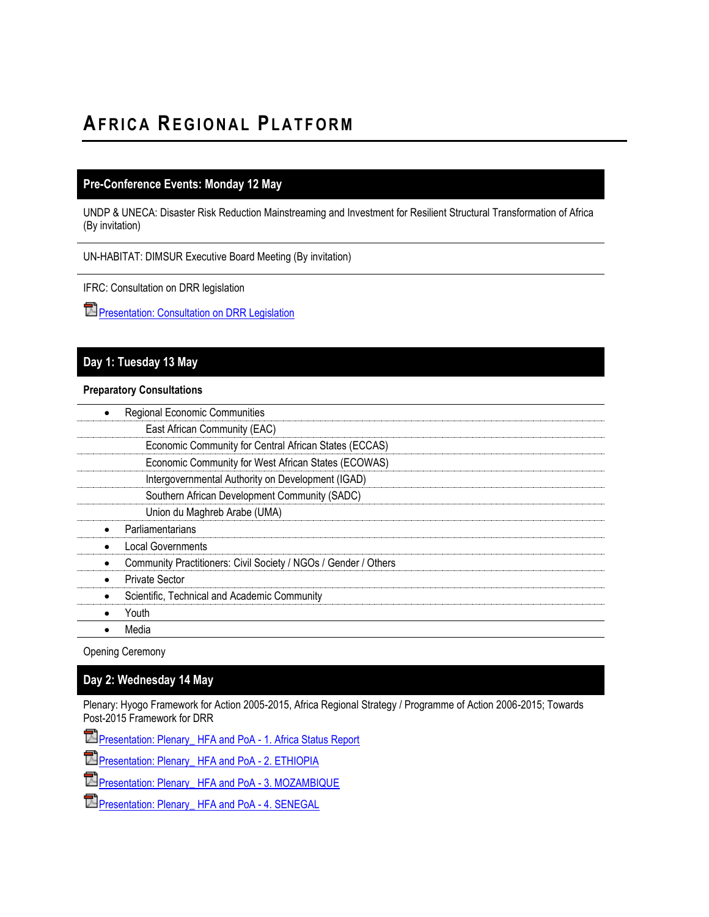# **AF R I C A RE G I O N A L PL A T F O R M**

## **Pre-Conference Events: Monday 12 May**

UNDP & UNECA: Disaster Risk Reduction Mainstreaming and Investment for Resilient Structural Transformation of Africa (By invitation)

UN-HABITAT: DIMSUR Executive Board Meeting (By invitation)

IFRC: Consultation on DRR legislation

**[Presentation: Consultation on DRR Legislation](http://www.preventionweb.net/files/37777_consultationondrrlegislation.pdf)** 

## **Day 1: Tuesday 13 May**

#### **Preparatory Consultations**

| <b>Regional Economic Communities</b>                            |  |
|-----------------------------------------------------------------|--|
| East African Community (EAC)                                    |  |
| Economic Community for Central African States (ECCAS)           |  |
| Economic Community for West African States (ECOWAS)             |  |
| Intergovernmental Authority on Development (IGAD)               |  |
| Southern African Development Community (SADC)                   |  |
| Union du Maghreb Arabe (UMA)                                    |  |
| Parliamentarians                                                |  |
| Local Governments                                               |  |
| Community Practitioners: Civil Society / NGOs / Gender / Others |  |
| <b>Private Sector</b>                                           |  |
| Scientific, Technical and Academic Community                    |  |
| Youth                                                           |  |
| Media                                                           |  |

Opening Ceremony

### **Day 2: Wednesday 14 May**

Plenary: Hyogo Framework for Action 2005-2015, Africa Regional Strategy / Programme of Action 2006-2015; Towards Post-2015 Framework for DRR

**Pa** [Presentation: Plenary\\_](http://www.unisdr.org/files/37777_plenaryhfaandpoa1.presentationafric.pdf)HFA and PoA - 1. Africa Status Report

**[Presentation: Plenary\\_](http://www.unisdr.org/files/37777_plenaryhfaandpoa2.ethiopia.pdf)HFA and PoA - 2. ETHIOPIA** 

**[Presentation: Plenary\\_](http://www.unisdr.org/files/37777_plenaryhfaandpoa3.mozambique.pdf)HFA and PoA - 3. MOZAMBIQUE** 

**[Presentation: Plenary\\_](http://www.unisdr.org/files/37777_plenaryhfaandpoa4.senegal.pdf)HFA and PoA - 4. SENEGAL**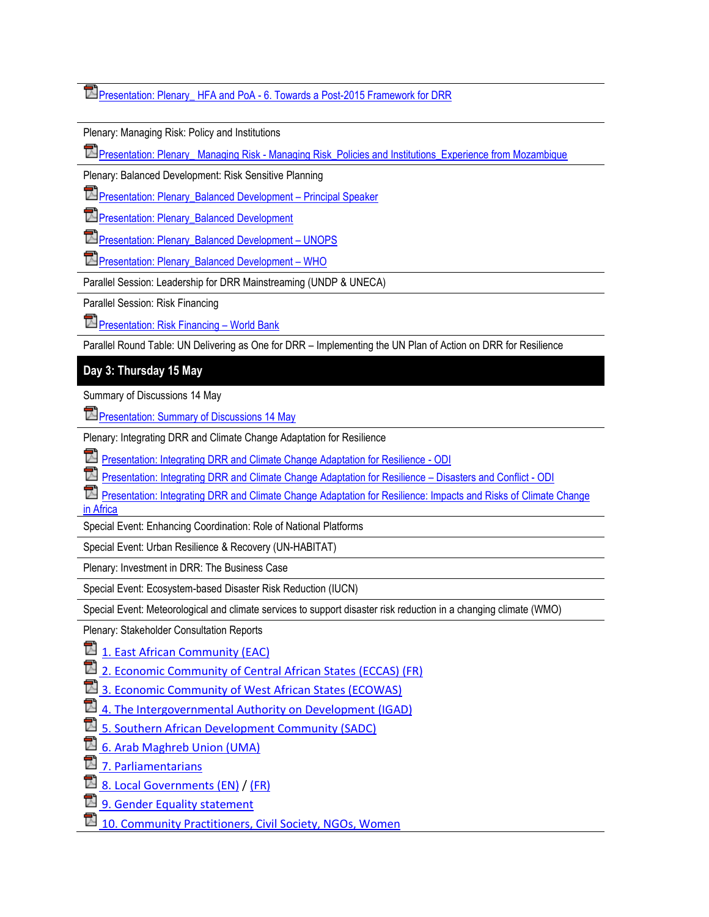# Presentation: Plenary\_ HFA and PoA - [6. Towards a Post-2015 Framework for DRR](http://www.unisdr.org/files/37777_plenaryhfaandpoa6.towardsapost2015f.pdf)

Plenary: Managing Risk: Policy and Institutions

Presentation: Plenary\_ Managing Risk - [Managing Risk\\_Policies and Institutions\\_Experience from Mozambique](http://www.unisdr.org/files/37777_plenarymanagingriskmanagingriskpoli.pdf)

Plenary: Balanced Development: Risk Sensitive Planning

**E**Presentation: Plenary Balanced Development – Principal Speaker

**Departs** Plenary Balanced Development

[Presentation: Plenary\\_Balanced Development](http://www.unisdr.org/files/37777_plenarybalanceddevelopmentunops.pdf) – UNOPS

**P**[Presentation: Plenary\\_Balanced Development](http://www.unisdr.org/files/37777_plenarybalanceddevelopmentwho.pdf) – WHO

Parallel Session: Leadership for DRR Mainstreaming (UNDP & UNECA)

Parallel Session: Risk Financing

**[Presentation: Risk Financing](http://www.preventionweb.net/files/37777_parallelsessionriskfinancingwb.pdf) – World Bank** 

Parallel Round Table: UN Delivering as One for DRR – Implementing the UN Plan of Action on DRR for Resilience

## **Day 3: Thursday 15 May**

Summary of Discussions 14 May

**[Presentation: Summary of Discussions 14 May](http://www.unisdr.org/files/37777_summaryofdiscussionsday2.pdf)** 

Plenary: Integrating DRR and Climate Change Adaptation for Resilience

[Presentation: Integrating DRR and Climate Change Adaptation for Resilience -](http://www.unisdr.org/files/37777_plenaryintegratingdrrandccaforresil.pdf) ODI

[Presentation: Integrating DRR and Climate Change Adaptation for Resilience](http://www.unisdr.org/files/37777_plenaryintegratingdrrandccaforresil%5b1%5d.pdf) – Disasters and Conflict - ODI

[Presentation: Integrating DRR and Climate Change Adaptation for Resilience: Impacts and Risks of Climate Change](http://www.unisdr.org/files/37777_plenaryintegratingdrrandclimatechan.pdf)  [in Africa](http://www.unisdr.org/files/37777_plenaryintegratingdrrandclimatechan.pdf)

Special Event: Enhancing Coordination: Role of National Platforms

Special Event: Urban Resilience & Recovery (UN-HABITAT)

Plenary: Investment in DRR: The Business Case

Special Event: Ecosystem-based Disaster Risk Reduction (IUCN)

Special Event: Meteorological and climate services to support disaster risk reduction in a changing climate (WMO)

Plenary: Stakeholder Consultation Reports

**司** 1. [East African Community \(EAC\)](http://www.unisdr.org/files/37777_1.eac.pdf)

 $\mathbb{\overline{2}}$  [2. Economic Community of Central African States](http://www.unisdr.org/files/37777_2.eccasfr.doc) (ECCAS) (FR)

[3. Economic Community of West](http://www.unisdr.org/files/37777_3.ecowas.pdf) African States (ECOWAS)

 $\mathbb{\overline{D}}$  [4. The Intergovernmental Authority on Development](http://www.unisdr.org/files/37777_4.igad.pdf) (IGAD)

[5. Southern African Development Community](http://www.unisdr.org/files/37777_5.sadc.pdf) (SADC)

 $\overline{\boxtimes}$  [6. Arab Maghreb Union \(UMA\)](http://www.unisdr.org/files/37777_6.uma.pdf)

 $\mathbb{Z}$  [7. Parliamentarians](http://www.unisdr.org/files/37777_7.parliamentarians.pdf)

 $\overline{2}$  [8. Local Governments \(EN\)](http://www.unisdr.org/files/37777_8.localgovernmentsen.pdf) / [\(FR\)](http://www.unisdr.org/files/37777_8.localgovernmentsfr.pdf)

**司** [9. Gender Equality statement](http://www.unisdr.org/files/37777_9.genderequalitystatement.pdf)

[10. Community Practitioners, Civil Society, NGOs, Women](http://www.unisdr.org/files/37777_9.communitypractitionerscivilsociet.pdf)